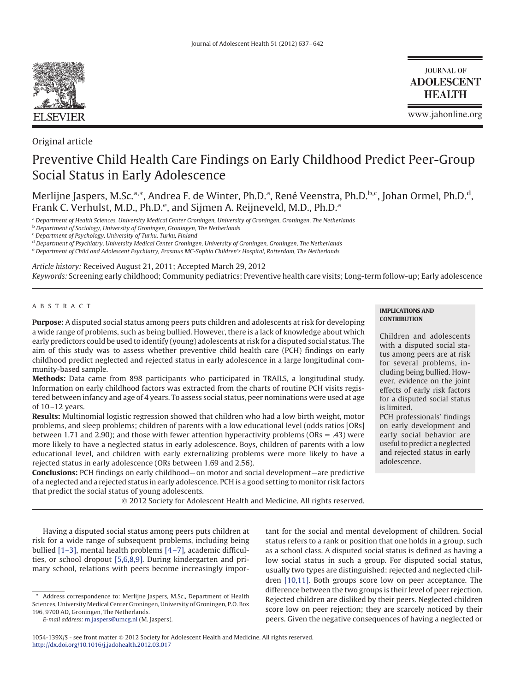

Original article

**JOURNAL OF ADOLESCENT HEALTH** 

www.jahonline.org

# Preventive Child Health Care Findings on Early Childhood Predict Peer-Group Social Status in Early Adolescence

Merlijne Jaspers, M.Sc.<sup>a,\*</sup>, Andrea F. de Winter, Ph.D.ª, René Veenstra, Ph.D.<sup>b,c</sup>, Johan Ormel, Ph.D.<sup>d</sup>, Frank C. Verhulst, M.D., Ph.D.<sup>e</sup>, and Sijmen A. Reijneveld, M.D., Ph.D.<sup>a</sup>

<sup>a</sup> *Department of Health Sciences, University Medical Center Groningen, University of Groningen, Groningen, The Netherlands*

<sup>b</sup> *Department of Sociology, University of Groningen, Groningen, The Netherlands*

<sup>c</sup> *Department of Psychology, University of Turku, Turku, Finland*

<sup>d</sup> *Department of Psychiatry, University Medical Center Groningen, University of Groningen, Groningen, The Netherlands*

<sup>e</sup> *Department of Child and Adolescent Psychiatry, Erasmus MC-Sophia Children's Hospital, Rotterdam, The Netherlands*

*Article history:* Received August 21, 2011; Accepted March 29, 2012 *Keywords:* Screening early childhood; Community pediatrics; Preventive health care visits; Long-term follow-up; Early adolescence

### ABSTRACT

**IMPLICATIONS AND CONTRIBUTION**

is limited.

adolescence.

Children and adolescents with a disputed social status among peers are at risk for several problems, including being bullied. However, evidence on the joint effects of early risk factors for a disputed social status

PCH professionals' findings on early development and early social behavior are useful to predict a neglected and rejected status in early

**Purpose:** A disputed social status among peers puts children and adolescents at risk for developing a wide range of problems, such as being bullied. However, there is a lack of knowledge about which early predictors could be used to identify (young) adolescents at risk for a disputed social status. The aim of this study was to assess whether preventive child health care (PCH) findings on early childhood predict neglected and rejected status in early adolescence in a large longitudinal community-based sample.

**Methods:** Data came from 898 participants who participated in TRAILS, a longitudinal study. Information on early childhood factors was extracted from the charts of routine PCH visits registered between infancy and age of 4 years. To assess social status, peer nominations were used at age of 10 –12 years.

**Results:** Multinomial logistic regression showed that children who had a low birth weight, motor problems, and sleep problems; children of parents with a low educational level (odds ratios [ORs] between 1.71 and 2.90); and those with fewer attention hyperactivity problems (ORs  $=$  .43) were more likely to have a neglected status in early adolescence. Boys, children of parents with a low educational level, and children with early externalizing problems were more likely to have a rejected status in early adolescence (ORs between 1.69 and 2.56).

**Conclusions:** PCH findings on early childhood— on motor and social development—are predictive of a neglected and a rejected status in early adolescence. PCH is a good setting to monitor risk factors that predict the social status of young adolescents.

2012 Society for Adolescent Health and Medicine. All rights reserved.

Having a disputed social status among peers puts children at risk for a wide range of subsequent problems, including being bullied [\[1–3\],](#page-4-0) mental health problems [\[4 –7\],](#page-4-1) academic difficulties, or school dropout [\[5,6,8,9\].](#page-4-2) During kindergarten and primary school, relations with peers become increasingly important for the social and mental development of children. Social status refers to a rank or position that one holds in a group, such as a school class. A disputed social status is defined as having a low social status in such a group. For disputed social status, usually two types are distinguished: rejected and neglected children [\[10,11\].](#page-4-3) Both groups score low on peer acceptance. The difference between the two groups is their level of peer rejection. Rejected children are disliked by their peers. Neglected children score low on peer rejection; they are scarcely noticed by their peers. Given the negative consequences of having a neglected or

Address correspondence to: Merlijne Jaspers, M.Sc., Department of Health Sciences, University Medical Center Groningen, University of Groningen, P.O. Box 196, 9700 AD, Groningen, The Netherlands.

*E-mail address:* [m.jaspers@umcg.nl](mailto:m.jaspers@umcg.nl) (M. Jaspers).

<sup>1054-139</sup>X/\$ - see front matter 2012 Society for Adolescent Health and Medicine. All rights reserved. <http://dx.doi.org/10.1016/j.jadohealth.2012.03.017>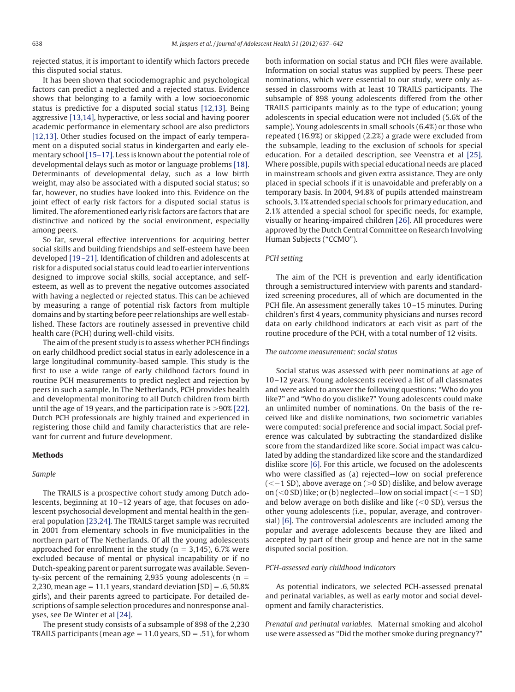rejected status, it is important to identify which factors precede this disputed social status.

It has been shown that sociodemographic and psychological factors can predict a neglected and a rejected status. Evidence shows that belonging to a family with a low socioeconomic status is predictive for a disputed social status [\[12,13\].](#page-4-4) Being aggressive [\[13,14\],](#page-4-5) hyperactive, or less social and having poorer academic performance in elementary school are also predictors [\[12,13\].](#page-4-4) Other studies focused on the impact of early temperament on a disputed social status in kindergarten and early ele-mentary school [\[15–17\].](#page-4-6) Less is known about the potential role of developmental delays such as motor or language problems [\[18\].](#page-5-0) Determinants of developmental delay, such as a low birth weight, may also be associated with a disputed social status; so far, however, no studies have looked into this. Evidence on the joint effect of early risk factors for a disputed social status is limited. The aforementioned early risk factors are factors that are distinctive and noticed by the social environment, especially among peers.

So far, several effective interventions for acquiring better social skills and building friendships and self-esteem have been developed [\[19 –21\].](#page-5-1) Identification of children and adolescents at risk for a disputed social status could lead to earlier interventions designed to improve social skills, social acceptance, and selfesteem, as well as to prevent the negative outcomes associated with having a neglected or rejected status. This can be achieved by measuring a range of potential risk factors from multiple domains and by starting before peer relationships are well established. These factors are routinely assessed in preventive child health care (PCH) during well-child visits.

The aim of the present study is to assess whether PCH findings on early childhood predict social status in early adolescence in a large longitudinal community-based sample. This study is the first to use a wide range of early childhood factors found in routine PCH measurements to predict neglect and rejection by peers in such a sample. In The Netherlands, PCH provides health and developmental monitoring to all Dutch children from birth until the age of 19 years, and the participation rate is  $>\!\!90\%$  [\[22\].](#page-5-2) Dutch PCH professionals are highly trained and experienced in registering those child and family characteristics that are relevant for current and future development.

#### **Methods**

#### *Sample*

The TRAILS is a prospective cohort study among Dutch adolescents, beginning at 10 –12 years of age, that focuses on adolescent psychosocial development and mental health in the general population [\[23,24\].](#page-5-3) The TRAILS target sample was recruited in 2001 from elementary schools in five municipalities in the northern part of The Netherlands. Of all the young adolescents approached for enrollment in the study ( $n = 3,145$ ), 6.7% were excluded because of mental or physical incapability or if no Dutch-speaking parent or parent surrogate was available. Seventy-six percent of the remaining 2,935 young adolescents ( $n =$ 2,230, mean age  $= 11.1$  years, standard deviation  $[SD] = .6, 50.8%$ girls), and their parents agreed to participate. For detailed descriptions of sample selection procedures and nonresponse analyses, see De Winter et al [\[24\].](#page-5-4)

The present study consists of a subsample of 898 of the 2,230 TRAILS participants (mean age  $= 11.0$  years, SD  $= .51$ ), for whom

both information on social status and PCH files were available. Information on social status was supplied by peers. These peer nominations, which were essential to our study, were only assessed in classrooms with at least 10 TRAILS participants. The subsample of 898 young adolescents differed from the other TRAILS participants mainly as to the type of education; young adolescents in special education were not included (5.6% of the sample). Young adolescents in small schools (6.4%) or those who repeated (16.9%) or skipped (2.2%) a grade were excluded from the subsample, leading to the exclusion of schools for special education. For a detailed description, see Veenstra et al [\[25\].](#page-5-5) Where possible, pupils with special educational needs are placed in mainstream schools and given extra assistance. They are only placed in special schools if it is unavoidable and preferably on a temporary basis. In 2004, 94.8% of pupils attended mainstream schools, 3.1% attended special schools for primary education, and 2.1% attended a special school for specific needs, for example, visually or hearing-impaired children [\[26\].](#page-5-6) All procedures were approved by the Dutch Central Committee on Research Involving Human Subjects ("CCMO").

## *PCH setting*

The aim of the PCH is prevention and early identification through a semistructured interview with parents and standardized screening procedures, all of which are documented in the PCH file. An assessment generally takes 10 –15 minutes. During children's first 4 years, community physicians and nurses record data on early childhood indicators at each visit as part of the routine procedure of the PCH, with a total number of 12 visits.

#### *The outcome measurement: social status*

Social status was assessed with peer nominations at age of 10 –12 years. Young adolescents received a list of all classmates and were asked to answer the following questions: "Who do you like?" and "Who do you dislike?" Young adolescents could make an unlimited number of nominations. On the basis of the received like and dislike nominations, two sociometric variables were computed: social preference and social impact. Social preference was calculated by subtracting the standardized dislike score from the standardized like score. Social impact was calculated by adding the standardized like score and the standardized dislike score [\[6\].](#page-4-7) For this article, we focused on the adolescents who were classified as (a) rejected—low on social preference ( $<-1$  SD), above average on ( $>$ 0 SD) dislike, and below average on ( $<$ 0 SD) like; or (b) neglected—low on social impact ( $<$  -1 SD) and below average on both dislike and like  $(<$  0 SD), versus the other young adolescents (i.e., popular, average, and controversial) [\[6\].](#page-4-7) The controversial adolescents are included among the popular and average adolescents because they are liked and accepted by part of their group and hence are not in the same disputed social position.

# *PCH-assessed early childhood indicators*

As potential indicators, we selected PCH-assessed prenatal and perinatal variables, as well as early motor and social development and family characteristics.

*Prenatal and perinatal variables.* Maternal smoking and alcohol use were assessed as "Did the mother smoke during pregnancy?"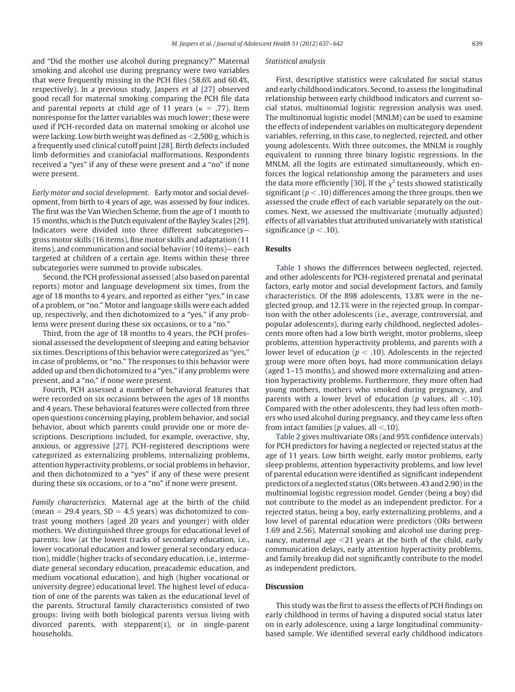and "Did the mother use alcohol during pregnancy?" Maternal smoking and alcohol use during pregnancy were two variables that were frequently missing in the PCH files (58.6% and 60.4%, respectively). In a previous study, Jaspers et al [\[27\]](#page-5-7) observed good recall for maternal smoking comparing the PCH file data and parental reports at child age of 11 years ( $\kappa = .77$ ). Item nonresponse for the latter variables was much lower; these were used if PCH-recorded data on maternal smoking or alcohol use were lacking. Low birth weight was defined as  $<$ 2,500 g, which is a frequently used clinical cutoff point [\[28\].](#page-5-8) Birth defects included limb deformities and craniofacial malformations. Respondents received a "yes" if any of these were present and a "no" if none were present.

*Early motor and social development.* Early motor and social development, from birth to 4 years of age, was assessed by four indices. The first was the Van Wiechen Scheme, from the age of 1 month to 15 months, which is the Dutch equivalent of the Bayley Scales [\[29\].](#page-5-9) Indicators were divided into three different subcategories gross motor skills (16 items), fine motor skills and adaptation (11 items), and communication and social behavior (10 items)— each targeted at children of a certain age. Items within these three subcategories were summed to provide subscales.

Second, the PCH professional assessed (also based on parental reports) motor and language development six times, from the age of 18 months to 4 years, and reported as either "yes," in case of a problem, or "no." Motor and language skills were each added up, respectively, and then dichotomized to a "yes," if any problems were present during these six occasions, or to a "no."

Third, from the age of 18 months to 4 years, the PCH professional assessed the development of sleeping and eating behavior six times. Descriptions of this behavior were categorized as "yes," in case of problems, or "no." The responses to this behavior were added up and then dichotomized to a "yes," if any problems were present, and a "no," if none were present.

Fourth, PCH assessed a number of behavioral features that were recorded on six occasions between the ages of 18 months and 4 years. These behavioral features were collected from three open questions concerning playing, problem behavior, and social behavior, about which parents could provide one or more descriptions. Descriptions included, for example, overactive, shy, anxious, or aggressive [\[27\].](#page-5-7) PCH-registered descriptions were categorized as externalizing problems, internalizing problems, attention hyperactivity problems, or social problems in behavior, and then dichotomized to a "yes" if any of these were present during these six occasions, or to a "no" if none were present.

*Family characteristics.* Maternal age at the birth of the child (mean  $= 29.4$  years, SD  $= 4.5$  years) was dichotomized to contrast young mothers (aged 20 years and younger) with older mothers. We distinguished three groups for educational level of parents: low (at the lowest tracks of secondary education, i.e., lower vocational education and lower general secondary education), middle (higher tracks of secondary education, i.e., intermediate general secondary education, preacademic education, and medium vocational education), and high (higher vocational or university degree) educational level. The highest level of education of one of the parents was taken as the educational level of the parents. Structural family characteristics consisted of two groups: living with both biological parents versus living with divorced parents, with stepparent(s), or in single-parent households.

## *Statistical analysis*

First, descriptive statistics were calculated for social status and early childhood indicators. Second, to assess the longitudinal relationship between early childhood indicators and current social status, multinomial logistic regression analysis was used. The multinomial logistic model (MNLM) can be used to examine the effects of independent variables on multicategory dependent variables, referring, in this case, to neglected, rejected, and other young adolescents. With three outcomes, the MNLM is roughly equivalent to running three binary logistic regressions. In the MNLM, all the logits are estimated simultaneously, which enforces the logical relationship among the parameters and uses the data more efficiently [\[30\].](#page-5-10) If the  $\chi^2$  tests showed statistically significant  $(p < .10)$  differences among the three groups, then we assessed the crude effect of each variable separately on the outcomes. Next, we assessed the multivariate (mutually adjusted) effects of all variables that attributed univariately with statistical significance ( $p < .10$ ).

## **Results**

[Table 1](#page-3-0) shows the differences between neglected, rejected, and other adolescents for PCH-registered prenatal and perinatal factors, early motor and social development factors, and family characteristics. Of the 898 adolescents, 13.8% were in the neglected group, and 12.1% were in the rejected group. In comparison with the other adolescents (i.e., average, controversial, and popular adolescents), during early childhood, neglected adolescents more often had a low birth weight, motor problems, sleep problems, attention hyperactivity problems, and parents with a lower level of education ( $p < .10$ ). Adolescents in the rejected group were more often boys, had more communication delays (aged 1–15 months), and showed more externalizing and attention hyperactivity problems. Furthermore, they more often had young mothers, mothers who smoked during pregnancy, and parents with a lower level of education ( $p$  values, all  $\leq$ .10). Compared with the other adolescents, they had less often mothers who used alcohol during pregnancy, and they came less often from intact families ( $p$  values, all <.10).

[Table 2](#page-3-1) gives multivariate ORs (and 95% confidence intervals) for PCH predictors for having a neglected or rejected status at the age of 11 years. Low birth weight, early motor problems, early sleep problems, attention hyperactivity problems, and low level of parental education were identified as significant independent predictors of a neglected status (ORs between .43 and 2.90) in the multinomial logistic regression model. Gender (being a boy) did not contribute to the model as an independent predictor. For a rejected status, being a boy, early externalizing problems, and a low level of parental education were predictors (ORs between 1.69 and 2.56). Maternal smoking and alcohol use during pregnancy, maternal age  $\leq$ 21 years at the birth of the child, early communication delays, early attention hyperactivity problems, and family breakup did not significantly contribute to the model as independent predictors.

## **Discussion**

This study was the first to assess the effects of PCH findings on early childhood in terms of having a disputed social status later on in early adolescence, using a large longitudinal communitybased sample. We identified several early childhood indicators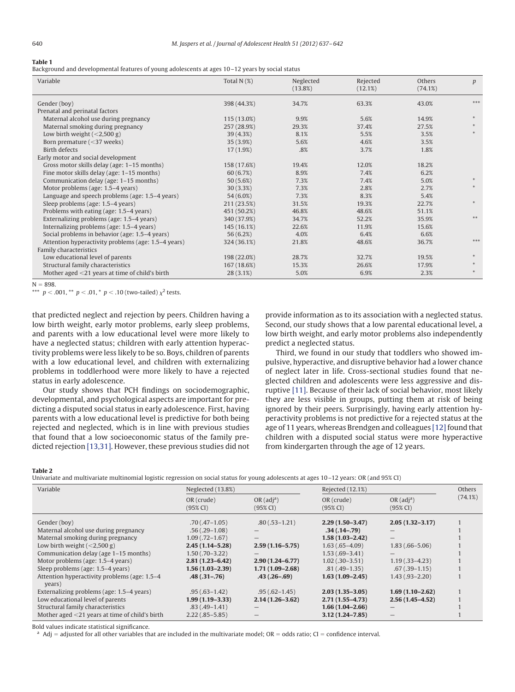#### <span id="page-3-0"></span>**Table 1**

| Background and developmental features of young adolescents at ages 10–12 years by social status |  |  |  |
|-------------------------------------------------------------------------------------------------|--|--|--|
|                                                                                                 |  |  |  |
|                                                                                                 |  |  |  |
|                                                                                                 |  |  |  |

| Variable                                            | Total $N$ $(\%)$ | Neglected<br>(13.8%) | Rejected<br>(12.1%) | Others<br>(74.1%) | p   |
|-----------------------------------------------------|------------------|----------------------|---------------------|-------------------|-----|
| Gender (boy)                                        | 398 (44.3%)      | 34.7%                | 63.3%               | 43.0%             | *** |
| Prenatal and perinatal factors                      |                  |                      |                     |                   |     |
| Maternal alcohol use during pregnancy               | 115 (13.0%)      | 9.9%                 | 5.6%                | 14.9%             |     |
| Maternal smoking during pregnancy                   | 257 (28.9%)      | 29.3%                | 37.4%               | 27.5%             |     |
| Low birth weight $(<2,500 g)$                       | 39(4.3%)         | 8.1%                 | 5.5%                | 3.5%              |     |
| Born premature $(<$ 37 weeks)                       | 35 (3.9%)        | 5.6%                 | 4.6%                | 3.5%              |     |
| <b>Birth defects</b>                                | 17(1.9%)         | .8%                  | 3.7%                | 1.8%              |     |
| Early motor and social development                  |                  |                      |                     |                   |     |
| Gross motor skills delay (age: 1-15 months)         | 158 (17.6%)      | 19.4%                | 12.0%               | 18.2%             |     |
| Fine motor skills delay (age: 1-15 months)          | 60 (6.7%)        | 8.9%                 | 7.4%                | 6.2%              |     |
| Communication delay (age: 1-15 months)              | 50 (5.6%)        | 7.3%                 | 7.4%                | 5.0%              |     |
| Motor problems (age: 1.5–4 years)                   | 30(3.3%)         | 7.3%                 | 2.8%                | 2.7%              |     |
| Language and speech problems (age: 1.5–4 years)     | 54 (6.0%)        | 7.3%                 | 8.3%                | 5.4%              |     |
| Sleep problems (age: 1.5–4 years)                   | 211 (23.5%)      | 31.5%                | 19.3%               | 22.7%             |     |
| Problems with eating (age: 1.5–4 years)             | 451 (50.2%)      | 46.8%                | 48.6%               | 51.1%             |     |
| Externalizing problems (age: 1.5–4 years)           | 340 (37.9%)      | 34.7%                | 52.2%               | 35.9%             | **  |
| Internalizing problems (age: 1.5-4 years)           | 145 (16.1%)      | 22.6%                | 11.9%               | 15.6%             |     |
| Social problems in behavior (age: 1.5-4 years)      | 56 (6.2%)        | 4.0%                 | 6.4%                | 6.6%              |     |
| Attention hyperactivity problems (age: 1.5–4 years) | 324 (36.1%)      | 21.8%                | 48.6%               | 36.7%             | *** |
| Family characteristics                              |                  |                      |                     |                   |     |
| Low educational level of parents                    | 198 (22.0%)      | 28.7%                | 32.7%               | 19.5%             |     |
| Structural family characteristics                   | 167 (18.6%)      | 15.3%                | 26.6%               | 17.9%             |     |
| Mother aged $<$ 21 years at time of child's birth   | 28(3.1%)         | 5.0%                 | 6.9%                | 2.3%              |     |

 $N = 898$ 

\*\*\* *p* < .001, \*\* *p* < .01, \* *p* < .10 (two-tailed)  $\chi^2$  tests.

that predicted neglect and rejection by peers. Children having a low birth weight, early motor problems, early sleep problems, and parents with a low educational level were more likely to have a neglected status; children with early attention hyperactivity problems were less likely to be so. Boys, children of parents with a low educational level, and children with externalizing problems in toddlerhood were more likely to have a rejected status in early adolescence.

Our study shows that PCH findings on sociodemographic, developmental, and psychological aspects are important for predicting a disputed social status in early adolescence. First, having parents with a low educational level is predictive for both being rejected and neglected, which is in line with previous studies that found that a low socioeconomic status of the family predicted rejection [\[13,31\].](#page-4-5) However, these previous studies did not provide information as to its association with a neglected status. Second, our study shows that a low parental educational level, a low birth weight, and early motor problems also independently predict a neglected status.

Third, we found in our study that toddlers who showed impulsive, hyperactive, and disruptive behavior had a lower chance of neglect later in life. Cross-sectional studies found that neglected children and adolescents were less aggressive and disruptive [\[11\].](#page-4-8) Because of their lack of social behavior, most likely they are less visible in groups, putting them at risk of being ignored by their peers. Surprisingly, having early attention hyperactivity problems is not predictive for a rejected status at the age of 11 years, whereas Brendgen and colleagues [\[12\]](#page-4-4) found that children with a disputed social status were more hyperactive from kindergarten through the age of 12 years.

## <span id="page-3-1"></span>**Table 2**

Univariate and multivariate multinomial logistic regression on social status for young adolescents at ages 10 –12 years: OR (and 95% CI)

| Variable                                          | Neglected (13.8%)     |                        | Rejected (12.1%)    |                        | Others  |
|---------------------------------------------------|-----------------------|------------------------|---------------------|------------------------|---------|
|                                                   | OR (crude)            | OR (adi <sup>a</sup> ) | OR (crude)          | OR (adi <sup>a</sup> ) | (74.1%) |
|                                                   | $(95\% CI)$           | (95% CI)               | (95% CI)            | (95% CI)               |         |
| Gender (boy)                                      | $.70(.47-1.05)$       | $.80(.53 - 1.21)$      | $2.29(1.50-3.47)$   | $2.05(1.32 - 3.17)$    |         |
| Maternal alcohol use during pregnancy             | $.56(.29-1.08)$       |                        | $.34(.14-.79)$      |                        |         |
| Maternal smoking during pregnancy                 | $1.09$ $(.72 - 1.67)$ | $-$                    | $1.58(1.03 - 2.42)$ |                        |         |
| Low birth weight $(<2,500 g)$                     | $2.45(1.14 - 5.28)$   | $2.59(1.16 - 5.75)$    | $1.63(.65 - 4.09)$  | $1.83(0.66 - 5.06)$    |         |
| Communication delay (age 1-15 months)             | $1.50$ (.70-3.22)     |                        | $1.53(0.69 - 3.41)$ |                        |         |
| Motor problems (age: 1.5–4 years)                 | $2.81(1.23 - 6.42)$   | $2.90(1.24 - 6.77)$    | $1.02$ (.30-3.51)   | $1.19(.33 - 4.23)$     |         |
| Sleep problems (age: 1.5–4 years)                 | $1.56(1.03 - 2.39)$   | $1.71(1.09 - 2.68)$    | $.81(.49-1.35)$     | $.67(.39-1.15)$        |         |
| Attention hyperactivity problems (age: 1.5–4      | $.48(.31-.76)$        | $.43(.26-.69)$         | $1.63(1.09 - 2.45)$ | $1.43(.93 - 2.20)$     |         |
| years)                                            |                       |                        |                     |                        |         |
| Externalizing problems (age: 1.5–4 years)         | $.95(.63-1.42)$       | $.95(.62 - 1.45)$      | $2.03(1.35 - 3.05)$ | $1.69(1.10-2.62)$      |         |
| Low educational level of parents                  | $1.99(1.19 - 3.33)$   | $2.14(1.26 - 3.62)$    | $2.71(1.55 - 4.73)$ | $2.56(1.45 - 4.52)$    |         |
| Structural family characteristics                 | $.83(.49-1.41)$       |                        | $1.66(1.04 - 2.66)$ |                        |         |
| Mother aged $<$ 21 years at time of child's birth | $2.22(.85 - 5.85)$    |                        | $3.12(1.24 - 7.85)$ |                        |         |

Bold values indicate statistical significance.

 $a$  Adj = adjusted for all other variables that are included in the multivariate model; OR = odds ratio; CI = confidence interval.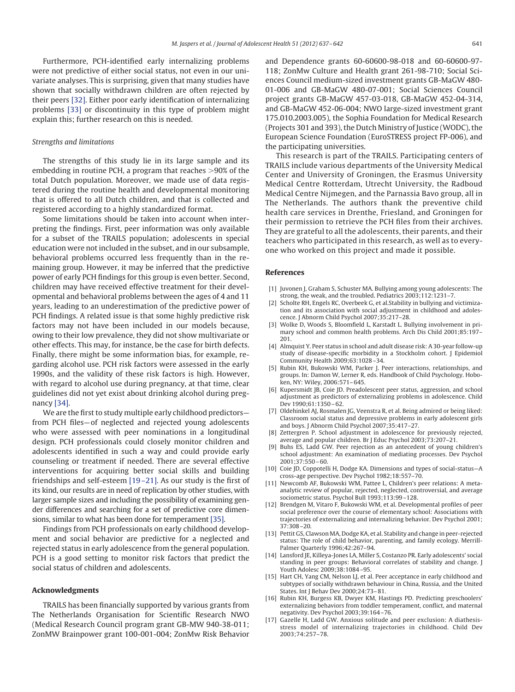Furthermore, PCH-identified early internalizing problems were not predictive of either social status, not even in our univariate analyses. This is surprising, given that many studies have shown that socially withdrawn children are often rejected by their peers [\[32\].](#page-5-11) Either poor early identification of internalizing problems [\[33\]](#page-5-12) or discontinuity in this type of problem might explain this; further research on this is needed.

#### *Strengths and limitations*

The strengths of this study lie in its large sample and its embedding in routine PCH, a program that reaches  $>$ 90% of the total Dutch population. Moreover, we made use of data registered during the routine health and developmental monitoring that is offered to all Dutch children, and that is collected and registered according to a highly standardized format.

Some limitations should be taken into account when interpreting the findings. First, peer information was only available for a subset of the TRAILS population; adolescents in special education were not included in the subset, and in our subsample, behavioral problems occurred less frequently than in the remaining group. However, it may be inferred that the predictive power of early PCH findings for this group is even better. Second, children may have received effective treatment for their developmental and behavioral problems between the ages of 4 and 11 years, leading to an underestimation of the predictive power of PCH findings. A related issue is that some highly predictive risk factors may not have been included in our models because, owing to their low prevalence, they did not show multivariate or other effects. This may, for instance, be the case for birth defects. Finally, there might be some information bias, for example, regarding alcohol use. PCH risk factors were assessed in the early 1990s, and the validity of these risk factors is high. However, with regard to alcohol use during pregnancy, at that time, clear guidelines did not yet exist about drinking alcohol during pregnancy [\[34\].](#page-5-13)

We are the first to study multiple early childhood predictors from PCH files— of neglected and rejected young adolescents who were assessed with peer nominations in a longitudinal design. PCH professionals could closely monitor children and adolescents identified in such a way and could provide early counseling or treatment if needed. There are several effective interventions for acquiring better social skills and building friendships and self-esteem [\[19 –21\].](#page-5-1) As our study is the first of its kind, our results are in need of replication by other studies, with larger sample sizes and including the possibility of examining gender differences and searching for a set of predictive core dimensions, similar to what has been done for temperament [\[35\].](#page-5-14)

Findings from PCH professionals on early childhood development and social behavior are predictive for a neglected and rejected status in early adolescence from the general population. PCH is a good setting to monitor risk factors that predict the social status of children and adolescents.

## **Acknowledgments**

TRAILS has been financially supported by various grants from The Netherlands Organisation for Scientific Research NWO (Medical Research Council program grant GB-MW 940-38-011; ZonMW Brainpower grant 100-001-004; ZonMw Risk Behavior

and Dependence grants 60-60600-98-018 and 60-60600-97- 118; ZonMw Culture and Health grant 261-98-710; Social Sciences Council medium-sized investment grants GB-MaGW 480- 01-006 and GB-MaGW 480-07-001; Social Sciences Council project grants GB-MaGW 457-03-018, GB-MaGW 452-04-314, and GB-MaGW 452-06-004; NWO large-sized investment grant 175.010.2003.005), the Sophia Foundation for Medical Research (Projects 301 and 393), the Dutch Ministry of Justice (WODC), the European Science Foundation (EuroSTRESS project FP-006), and the participating universities.

This research is part of the TRAILS. Participating centers of TRAILS include various departments of the University Medical Center and University of Groningen, the Erasmus University Medical Centre Rotterdam, Utrecht University, the Radboud Medical Centre Nijmegen, and the Parnassia Bavo group, all in The Netherlands. The authors thank the preventive child health care services in Drenthe, Friesland, and Groningen for their permission to retrieve the PCH files from their archives. They are grateful to all the adolescents, their parents, and their teachers who participated in this research, as well as to everyone who worked on this project and made it possible.

# <span id="page-4-0"></span>**References**

- [1] Juvonen J, Graham S, Schuster MA. Bullying among young adolescents: The strong, the weak, and the troubled. Pediatrics 2003;112:1231–7.
- [2] Scholte RH, Engels RC, Overbeek G, et al.Stability in bullying and victimization and its association with social adjustment in childhood and adolescence. J Abnorm Child Psychol 2007;35:217–28.
- [3] Wolke D, Woods S, Bloomfield L, Karstadt L. Bullying involvement in primary school and common health problems. Arch Dis Child 2001;85:197– 201.
- <span id="page-4-1"></span>[4] Almquist Y. Peer status in school and adult disease risk: A 30-year follow-up study of disease-specific morbidity in a Stockholm cohort. J Epidemiol Community Health 2009;63:1028 –34.
- <span id="page-4-7"></span><span id="page-4-2"></span>[5] Rubin KH, Bukowski WM, Parker J. Peer interactions, relationships, and groups. In: Damon W, Lerner R, eds. Handbook of Child Psychology. Hoboken, NY: Wiley, 2006:571– 645.
- [6] Kupersmidt JB, Coie JD. Preadolescent peer status, aggression, and school adjustment as predictors of externalizing problems in adolescence. Child Dev 1990;61:1350 – 62.
- [7] Oldehinkel AJ, Rosmalen JG, Veenstra R, et al. Being admired or being liked: Classroom social status and depressive problems in early adolescent girls and boys. J Abnorm Child Psychol 2007;35:417–27.
- [8] Zettergren P. School adjustment in adolescence for previously rejected, average and popular children. Br J Educ Psychol 2003;73:207–21.
- [9] Buhs ES, Ladd GW. Peer rejection as an antecedent of young children's school adjustment: An examination of mediating processes. Dev Psychol 2001;37:550 – 60.
- <span id="page-4-8"></span><span id="page-4-3"></span>[10] Coie JD, Coppotelli H, Dodge KA. Dimensions and types of social-status–A cross-age perspective. Dev Psychol 1982;18:557–70.
- <span id="page-4-4"></span>[11] Newcomb AF, Bukowski WM, Pattee L, Children's peer relations: A metaanalytic review of popular, rejected, neglected, controversial, and average sociometric status. Psychol Bull 1993;113:99 –128.
- [12] Brendgen M, Vitaro F, Bukowski WM, et al. Developmental profiles of peer social preference over the course of elementary school: Associations with trajectories of externalizing and internalizing behavior. Dev Psychol 2001; 37:308 –20.
- <span id="page-4-5"></span>[13] Pettit GS, Clawson MA, Dodge KA, et al. Stability and change in peer-rejected status: The role of child behavior, parenting, and family ecology. Merrill-Palmer Quarterly 1996;42:267–94.
- <span id="page-4-6"></span>[14] Lansford JE, Killeya-Jones LA, Miller S, Costanzo PR. Early adolescents' social standing in peer groups: Behavioral correlates of stability and change. J Youth Adolesc 2009;38:1084 –95.
- [15] Hart CH, Yang CM, Nelson LJ, et al. Peer acceptance in early childhood and subtypes of socially withdrawn behaviour in China, Russia, and the United States. Int J Behav Dev 2000;24:73– 81.
- [16] Rubin KH, Burgess KB, Dwyer KM, Hastings PD. Predicting preschoolers' externalizing behaviors from toddler temperament, conflict, and maternal negativity. Dev Psychol 2003;39:164 –76.
- [17] Gazelle H, Ladd GW. Anxious solitude and peer exclusion: A diathesisstress model of internalizing trajectories in childhood. Child Dev 2003;74:257–78.